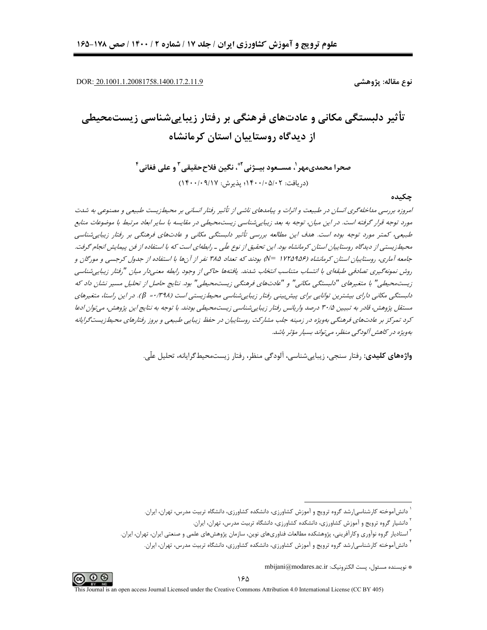DOR: 20.1001.1.20081758.1400.17.2.11.9

نوع مقاله: پژوهشے

# تأثیر دلبستگی مکانی و عادتهای فرهنگی بر رفتار زیباییشناسی زیستمحیطی از دیدگاه روستاییان استان کرمانشاه

صحرا محمدي،مهر '، مســعود ببــژني ٌ ٌ، نگين فلاح<قيقي <sup>۳</sup>و على فغاني <sup>۴</sup> (د, یافت: ۰/۰۵/۱۲+۱۴۰۰؛ یذیرش: ۱۴۰۰/۰۹/۱۷)

چکىدە

امروزه بررسی مداخله گری انسان در طبیعت و اثرات و پیامدهای ناشی از تأثیر رفتار انسانی بر محیطزیست طبیعی و مصنوعی به شدت مورد توجه قرار گرفته است. در این میان، توجه به بعد زیباییشناسی زیستمحیطی در مقایسه با سایر ابعاد مرتبط با موضوعات منابع طبیعی، کمتر مورد توجه بوده است. هدف این مطالعه بررسی تأثیر دلبستگی مکانی و عادتهای فرهنگی بر رفتار زیبایی شناسی محیط زیستی از دیدگاه روستاییان استان کرمانشاه بود. این تحقیق از نوع علّی ـ رابطهای است که با استفاده از فن پیمایش انجام گرفت. جامعه آماری، روستاییان استان کرمانشاه (۱۲۲۵۹۵۶ =N) بودند که تعداد ۳۸۵ نفر از آنها با استفاده از جدول کرجسی و مورگان و روش نمونه گيري تصادفي طبقهاي با انتساب متناسب انتخاب شدند. يافتهها حاكي از وجود رابطه معني،ار ميان "رفتار زيبايي شناسي زیستمحیطے," با متغیرهای "دلبستگے، مکانے," و "عادتهای فرهنگی زیستمحیطی" بود. نتایج حاصل از تحلیل مسیر نشان داد که دلبستگی مکانی دارای بیشترین توانایی برای پیش بینی رفتار زیبایی شناسی محیطزیستی است (۳۹۸/۰= β). در این راستا، متغیرهای مستقل پژوهش، قادر به تبیین ۳۰/۵ درصد واریانس رفتار زیباییشناسی زیستمحیطی بودند. با توجه به نتایج این پژوهش، میتوان ادعا کرد تمرکز بر عادتهای فرهنگی بهویژه در زمینه جلب مشارکت روستاییان در حفظ زیبایی طبیعی و بروز رفتارهای محیطزیستگرایانه بەويژه در كاهش آلودگى منظر، مى تواند بسيار مؤثر باشد.

واژەهای کلیدی: رفتار سنجی، زیباییشناسی، آلودگی منظر، رفتار زیستمحیط گرایانه، تحلیل علّی.



<sup>&</sup>lt;sup>۱</sup> دانشآموخته کارشناسی|رشد گروه ترویج و آموزش کشاورزی، دانشکده کشاورزی، دانشگاه تربیت مدرس، تهران، ایران.

<sup>&</sup>lt;sup>۲</sup> دانشیار گروه ترویج و آموزش کشاورزی، دانشکده کشاورزی، دانشگاه تربیت مدرس، تهران، ایران.

<sup>&</sup>lt;sup>۳</sup> استادیار گروه نوآوری وکارآفرینی، پژوهشکده مطالعات فناوریهای نوین، سازمان پژوهشهای علمی و صنعتی ایران، تهران، ایران.

<sup>&</sup>lt;sup>۲</sup> دانشآموخته کارشناسی|رشد گروه ترویج و آموزش کشاورزی، دانشکده کشاورزی، دانشگاه تربیت مدرس، تهران، ایران.

<sup>\*</sup> نويسنده مسئول، يست الكترونيك: mbijani@modares.ac.ir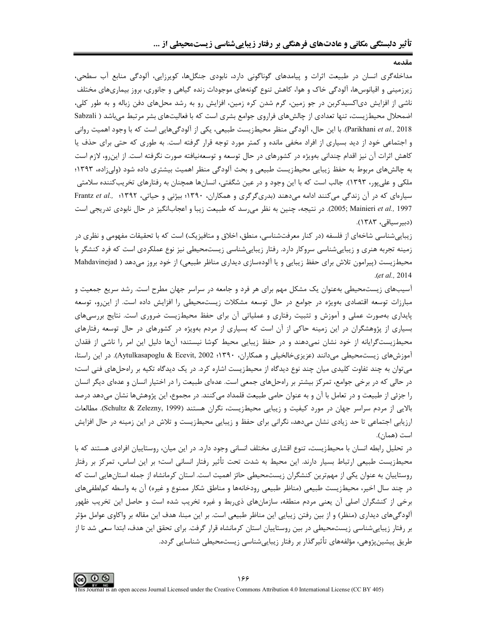مداخله گری انسان در طبیعت اثرات و پیامدهای گوناگونی دارد، نابودی جنگلها، کوپرزایی، آلودگی منابع آب سطحی، زیرزمینی و اقیانوسها، آلودگی خاک و هوا، کاهش تنوع گونههای موجودات زنده گیاهی و جانوری، بروز بیماریهای مختلف ناشی از افزایش دی|کسیدکربن در جو زمین، گرم شدن کره زمین، افزایش رو به رشد محلهای دفن زباله و به طور کلی، اضمحلال محیطزیست، تنها تعدادی از چالشهای فراروی جوامع بشری است که با فعالیتهای بشر مرتبط میباشد ( Sabzali Parikhani et al., 2018). با این حال، آلودگی منظر محیطزیست طبیعی، یکی از آلودگیهایی است که با وجود اهمیت روانی و اجتماعی خود از دید بسیاری از افراد مخفی مانده و کمتر مورد توجه قرار گرفته است. به طوری که حتی برای حذف یا کاهش اثرات آن نیز اقدام چندانی بهویژه در کشورهای در حال توسعه و توسعهنیافته صورت نگرفته است. از این و، لازم است به چالش&ای مربوط به حفظ زیبایی محیطزیست طبیعی و بحث آلودگی منظر اهمیت بیشتری داده شود (ولی;اده، ۱۳۹۳؛ ملکی و علیپور، ۱۳۹۳). جالب است که با این وجود و در عین شگفتی، انسانها همچنان به رفتارهای تخریبکننده سلامتی سیارهای که در آن زندگی می کنند ادامه میدهند (بدریگرگری و همکاران، ۱۳۹۰؛ بیژنی و حیاتی، ۱۳۹۲؛ Frantz et al., ۱۳۹۲ 2005; Mainieri et al., 1997). در نتيجه، چنين به نظر مى رسد كه طبيعت زيبا و اعجابانگيز در حال نابودى تدريجى است (دبير سياقى، ١٣٨٣).

زیبایی شناسی شاخهای از فلسفه (در کنار معرفتشناسی، منطق، اخلاق و متافیزیک) است که با تحقیقات مفهومی و نظری در زمینه تجربه هنری و زیباییشناسی سروکار دارد. رفتار زیباییشناسی زیستمحیطی نیز نوع عملکردی است که فرد کنشگر با محیطزیست (پیرامون تلاش برای حفظ زیبایی و یا آلودهسازی دیداری مناظر طبیعی) از خود بروز میدهد ( Mahdavinejad  $. (et al., 2014)$ 

آسیبهای زیستمحیطی بهعنوان یک مشکل مهم برای هر فرد و جامعه در سراسر جهان مطرح است. رشد سریع جمعیت و مبارزات توسعه اقتصادی بهویژه در جوامع در حال توسعه مشکلات زیستمحیطی را افزایش داده است. از این و، توسعه پایداری بهصورت عملی و آموزش و تثبیت رفتاری و عملیاتی آن برای حفظ محیطزیست ضروری است. نتایج بررسیهای بسیاری از پژوهشگران در این زمینه حاکی از آن است که بسیاری از مردم بهویژه در کشورهای در حال توسعه رفتارهای محیطزیستگرایانه از خود نشان نمیدهند و در حفظ زیبایی محیط کوشا نیستند؛ آنها دلیل این امر را ناشی از فقدان آموزشهای زیستمحیطی می دانند (عزیزی خالخیلی و همکاران، ۱۳۹۰؛ Aytulkasapoglu & Ecevit, 2002). در این راستا، می توان به چند تفاوت کلیدی میان چند نوع دیدگاه از محیطزیست اشاره کرد. در یک دیدگاه تکیه بر رامحلهای فنی است؛ در حالی که در برخی جوامع، تمرکز بیشتر بر راهحلهای جمعی است. عدهای طبیعت را در اختیار انسان و عدهای دیگر انسان را جزئی از طبیعت و در تعامل با آن و به عنوان حامی طبیعت قلمداد میکنند. در مجموع، این پژوهشها نشان میدهد درصد بالایی از مردم سراسر جهان در مورد کیفیت و زیبایی محیطزیست، نگران هستند (Schultz & Zelezny, 1999). مطالعات ارزیابی اجتماعی تا حد زیادی نشان میدهد، نگرانی برای حفظ و زیبایی محیطزیست و تلاش در این زمینه در حال افزایش است (همان).

در تحلیل رابطه انسان با محیطزیست، تنوع اقشاری مختلف انسانی وجود دارد. در این میان، روستاییان افرادی هستند که با محیطزیست طبیعی ارتباط بسیار دارند. این محیط به شدت تحت تأثیر رفتار انسانی است؛ بر این اساس، تمرکز بر رفتار روستاییان به عنوان یکی از مهمترین کنشگران زیستمحیطی حائز اهمیت است. استان کرمانشاه از جمله استانهایی است که در چند سال اخیر، محیطزیست طبیعی (مناظر طبیعی رودخانهها و مناطق شکار ممنوع و غیره) آن به واسطه کملطفیهای برخی از کنشگران اصلی آن یعنی مردم منطقه، سازمانهای ذی,بط و غیره تخریب شده است و حاصل این تخریب ظهور آلودگیهای دیداری (منظر) و از بین رفتن زیبایی این مناظر طبیعی است. بر این مبنا، هدف این مقاله بر واکاوی عوامل مؤثر بر رفتار زیبایی،شناسی زیست،محیطی در بین روستاییان استان کرمانشاه قرار گرفت. برای تحقق این هدف، ابتدا سعی شد تا از طریق پیشین پژوهی، مؤلفههای تأثیر گذار بر رفتار زیبایی شناسی زیستمحیطی شناسایی گردد.

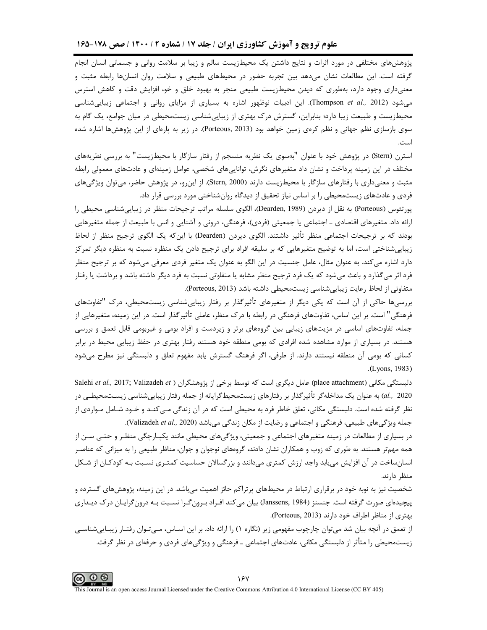پژوهشهای مختلفی در مورد اثرات و نتایج داشتن یک محیطزیست سالم و زیبا بر سلامت روانی و جسمانی انسان انجام گرفته است. این مطالعات نشان میدهد بین تجربه حضور در محیطهای طبیعی و سلامت روان انسانها رابطه مثبت و معنیداری وجود دارد، بهطوری که دیدن محیطزیست طبیعی منجر به بهبود خلق و خو، افزایش دقت و کاهش استرس میشود (Thompson *et al.,* 2012). این ادبیات نوظهور اشاره به بسیاری از مزایای روانی و اجتماعی زیباییشناسی محیطزیست و طبیعت زیبا دارد؛ بنابراین، گسترش درک بهتری از زیباییشناسی زیستمحیطی در میان جوامع، یک گام به سوی بازسازی نظم جهانی و نظم کرهی زمین خواهد بود (Porteous, 2013). در زیر به پارهای از این پژوهشها اشاره شده است.

استرن (Stern) در پژوهش خود با عنوان "بهسوی یک نظریه منسجم از رفتار سازگار با محیطزیست" به بررسی نظریههای مختلف در این زمینه پرداخت و نشان داد متغیرهای نگرش، تواناییهای شخصی، عوامل زمینهای و عادتهای معمولی رابطه مثبت و معنیداری با رفتارهای سازگار با محیطزیست دارند (Stern, 2000). از اینرو، در پژوهش حاضر، میتوان ویژگیهای فردی و عادتهای زیستمحیطی را بر اساس نیاز تحقیق از دیدگاه روانشناختی مورد بررسی قرار داد.

پورتئوس (Porteous) به نقل از دیردن (Dearden, 1989)، الگوی سلسله مراتب ترجیحات منظر در زیباییشناسی محیطی را رائه داد. متغیرهای اقتصادی ــ اجتماعی یا جمعیتی (فردی)، فرهنگی، درونی و آشنایی و انس با طبیعت از جمله متغیرهایی J بودند كه بر ترجيحات اجتماعي منظر تأثير داشتند. الگوي ديردن (Dearden) با اينكه يک الگوي ترجيح منظر از لحاظ زیباییشناختی است، اما به توضیح متغیرهایی که بر سلیقه افراد برای ترجیح دادن یک منظره نسبت به منظره دیگر تمرکز دارد اشاره میکند. به عنوان مثال، عامل جنسیت در این الگو به عنوان یک متغیر فردی معرفی میشود که بر ترجیح منظر فرد اثر میگذارد و باعث میشود که یک فرد ترجیح منظر مشابه یا متفاوتی نسبت به فرد دیگر داشته باشد و برداشت یا رفتار متفاوتی از لحاظ رعایت زیباییشناسی زیستمحیطی داشته باشد (Porteous, 2013).

بررسیها حاکی از آن است که یکی دیگر از متغیرهای تأثیرگذار بر رفتار زیباییشناسی زیستمحیطی، درک "تفاوتهای فرهنگی" است. بر این اساس، تفاوتهای فرهنگی در رابطه با درک منظر، عاملی تأثیرگذار است. در این زمینه، متغیرهایی از جمله، تفاوتهای اساسی در مزیتهای زیبایی بین گروههای برتر و زیردست و افراد بومی و غیربومی قابل تعمق و بررسی هستند. در بسیاری از موارد مشاهده شده افرادی که بومی منطقه خود هستند رفتار بهتری در حفظ زیبایی محیط در برابر کسانی که بومی اًن منطقه نیستند دارند. از طرفی، اگر فرهنگ گسترش یابد مفهوم تعلق و دلبستگی نیز مطرح میشود . **(**Lyons, 1983)

Salehi *et al.*, 2017; Valizadeh *et* ) باستکی مکانی (Salehi *et al.*, 2017; Valizadeh *et* al., 2020) به عنوان یک مداخلهگر تأثیرگذار بر رفتارهای زیستمحیطگرایانه از جمله رفتار زیباییشناسی زیستمحیطـی در نظر گرفته شده است. دلبستگی مکانی، تعلق خاطر فرد به محیطی است که در آن زندگی مـیکنـد و خـود شـامل مـواردی از جمله ویژگیهای طبیعی، فرهنگی و اجتماعی و رضایت از مکان زندگی میباشد (Valizadeh *et al.,* 2020).

در بسیاری از مطالعات در زمینه متغیرهای اجتماعی و جمعیتی، ویژگیهای محیطی مانند یکپـارچگی منظـر و حتـی سـن از همه مهمتر هستند. به طوری که زوب و همکاران نشان دادند، گروههای نوجوان و جوان، مناظر طبیعی را به میزانی که عناصـر انسانساخت در آن افزایش مییابد واجد ارزش کمتری میدانند و بزرگسالان حساسیت کمتـری نسـبت بـه کودکـان از شـکل منظر دارند.

شخصیت نیز به نوبه خود در برقراری ارتباط در محیطهای پرتراکم حائز اهمیت میباشد. در این زمینه، پژوهشهای گسترده و پیچیدهای صورت گرفته است. جنسنز (Janssens, 1984) بیان میکند افـراد بـرونگـرا نسـبت بـه درونگرایـان درک دیـداری بهتری از مناظر اطراف خود دارند (Porteous, 2013).

از تعمق در آنچه بیان شد میتوان چارچوب مفهومی زیر (نگاره ۱) را ارائه داد. بر این اسـاس، مـیتـوان رفتـار زیبـاییشناسـی زیستمحیطی را متأثر از دلبستگی مکانی، عادتهای اجتماعی ــ فرهنگی و ویژگیهای فردی و حرفهای در نظر گرفت.

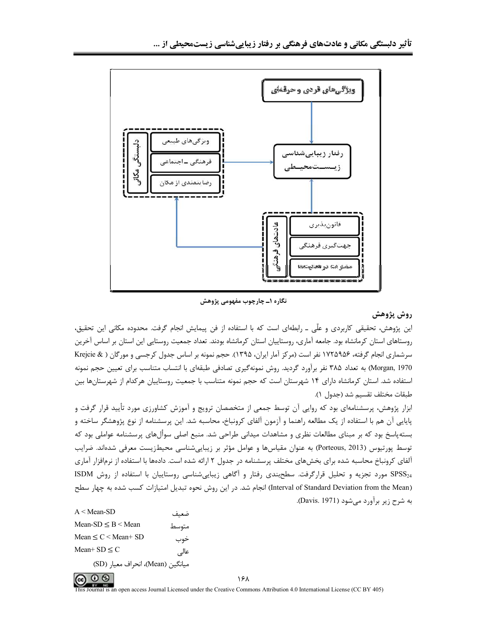

نگاره ۱ــ چارچوب مفهومی پژوهش

# روش پژوهش

این پژوهش، تحقیقی کاربردی و علّی ــ رابطهای است که با استفاده از فن پیمایش انجام گرفت. محدوده مکانی این تحقیق، روستاهای استان کرمانشاه بود. جامعه آماری، روستاییان استان کرمانشاه بودند. تعداد جمعیت روستایی این استان بر اساس آخرین سرشماری انجام گرفته، ۱۷۲۵۹۵۶ نفر است (مرکز آمار ایران، ۱۳۹۵). حجم نمونه بر اساس جدول کرجسی و مورگان ( Krejcie & Morgan, 1970) به تعداد ۳۸۵ نفر برآورد گردید. روش نمونهگیری تصادفی طبقهای با انتساب متناسب برای تعیین حجم نمونه استفاده شد. استان کرمانشاه دارای ۱۴ شهرستان است که حجم نمونه متناسب با جمعیت روستاییان هرکدام از شهرستانها بین طبقات مختلف تقسيم شد (جدول ١).

ابزار پژوهش، پرسشنامهای بود که روایی آن توسط جمعی از متخصصان ترویج و آموزش کشاورزی مورد تأیید قرار گرفت و پایایی آن هم با استفاده از یک مطالعه راهنما و آزمون آلفای کرونباخ، محاسبه شد. این پرسشنامه از نوع پژوهشگر ساخته و بستهپاسخ بود که بر مبنای مطالعات نظری و مشاهدات میدانی طراحی شد. منبع اصلی سوألهای پرسشنامه عواملی بود که توسط پورتیوس (Porteous, 2013) به عنوان مقیاسها و عوامل مؤثر بر زیباییشناسی محیطزیست معرفی شدهاند. ضرایب آلفای کرونباخ محاسبه شده برای بخش های مختلف پرسشنامه در جدول ۲ ارائه شده است. دادهها با استفاده از نرمافزار آماری SPSS<sub>24</sub> مورد تجزیه و تحلیل قرارگرفت. سطحبندی رفتار و اًگاهی زیباییشناسی روستاییان با استفاده از روش ISDM (Interval of Standard Deviation from the Mean) انجام شد. در این روش نحوه تبدیل امتیازات کسب شده به چهار سطح به شرح زیر برآورد مے شود (Davis. 1971).

| $A <$ Mean-SD                     | ضعىف   |
|-----------------------------------|--------|
| Mean-SD $\leq$ B $\leq$ Mean      | متوسط  |
| Mean $\leq C \leq$ Mean+ SD       | خوب    |
| Mean+ $SD < C$                    | عالے ٍ |
| ميانگين (Mean)، انحراف معيار (SD) |        |



۱۶۸

al is an open access Journal Licensed under the Creative Commons Attribution 4.0 International License (CC BY 405)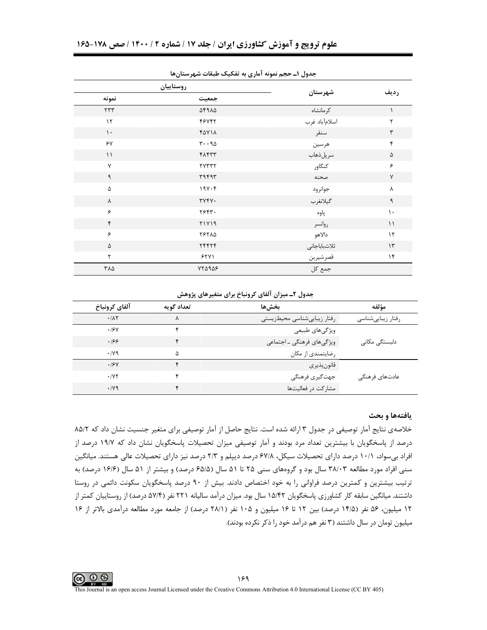|                      | جناون ا= حجم تنبوته الدري به تعجیب طبعات شهرستان ما |               |                      |  |  |  |  |  |  |
|----------------------|-----------------------------------------------------|---------------|----------------------|--|--|--|--|--|--|
|                      | روستاييان                                           |               | رديف                 |  |  |  |  |  |  |
| نمونه                | جمعيت                                               | شهرستان       |                      |  |  |  |  |  |  |
| $\gamma\gamma\gamma$ | 14915                                               | كرمانشاه      |                      |  |  |  |  |  |  |
| $\gamma$             | 46745                                               | اسلامأباد غرب | ٢                    |  |  |  |  |  |  |
| $\mathcal{N}$        | <b>FAV14</b>                                        | سنقر          | $\mathbf{\breve{r}}$ |  |  |  |  |  |  |
| ۶۷                   | $r \cdot q_0$                                       | هرسين         | ۴                    |  |  |  |  |  |  |
| $\lambda$            | f                                                   | سرپلذهاب      | ۵                    |  |  |  |  |  |  |
| $\mathsf{v}$         | <b>TYTTT</b>                                        | كنگاور        | ۶                    |  |  |  |  |  |  |
| ٩                    | ٣٩۴٩٣                                               | صحنه          | $\mathsf{V}$         |  |  |  |  |  |  |
| ۵                    | $19V \cdot F$                                       | جوانرود       | ٨                    |  |  |  |  |  |  |
| λ                    | $\tau \gamma \gamma \gamma$ .                       | گيلانغرب      | ٩                    |  |  |  |  |  |  |
| ۶                    | ٢۶۴٣.                                               | پاوه          | $\mathcal{L}$        |  |  |  |  |  |  |
| ۴                    | 71719                                               | روانسر        | $\setminus$          |  |  |  |  |  |  |
| ۶                    | <b>79710</b>                                        | دالاهو        | $\gamma$             |  |  |  |  |  |  |
| ۵                    | 74474                                               | ثلاثباباجانى  | $\mathcal{N}$        |  |  |  |  |  |  |
| ٢                    | 551                                                 | قصرشيرين      | $\gamma$             |  |  |  |  |  |  |
| ۳۸۵                  | $YY\Delta9\Delta9$                                  | جمع کل        |                      |  |  |  |  |  |  |

حدول (\_حجم نمونه آماری به تفکیک طبقات شد ستانها

جدول ۲ـ میزان آلفای کرونباخ برای متغیرهای پژوهش

| آلفاي كرونباخ | تعداد گويه | بخشءا                       | مؤلفه                                   |
|---------------|------------|-----------------------------|-----------------------------------------|
| .71           | ٨          | رفتار زيبايىشناسى محيطزيستى | رفتار زيبايىشناسى                       |
| .19Y          |            | ویژگیهای طبیعی              |                                         |
| .199          |            | ویژگیهای فرهنگی ـ اجتماعی   | دلبستگے <sub>،</sub> مکانے <sub>،</sub> |
| $\cdot$ /yq   | Δ          | رضایتمندی از مکان           |                                         |
| .19V          |            | قانون پذير ي                |                                         |
| .1YY          |            | جهت گیری فرهنگی             | عادتهای فرهنگی                          |
| $\cdot$ /y9   |            | مشارکت در فعالیتها          |                                         |

### يافتهها و بحث

خلاصهی نتایج آمار توصیفی در جدول ۳ ارائه شده است. نتایج حاصل از آمار توصیفی برای متغیر جنسیت نشان داد که ۸۵/۲ درصد از پاسخگویان با بیشترین تعداد مرد بودند و آمار توصیفی میزان تحصیلات پاسخگویان نشان داد که ۱۹/۷ درصد از افراد بی سواد، ۱۰/۱ درصد دارای تحصیلات سیکل، ۶۷/۸ درصد دیپلم و ۲/۳ درصد نیز دارای تحصیلات عالی هستند. میانگین سنی افراد مورد مطالعه ۳۸/۰۳ سال بود و گروههای سنی ۲۵ تا ۵۱ سال (۶۵/۵ درصد) و بیشتر از ۵۱ سال (۱۶/۶ درصد) به ترتیب بیشترین و کمترین درصد فراوانی را به خود اختصاص دادند. بیش از ۹۰ درصد پاسخگویان سکونت دائمی در روستا داشتند. میانگین سابقه کار کشاورزی پاسخگویان ۱۵/۴۲ سال بود. میزان درآمد سالیانه ۲۲۱ نفر (۵۷/۴ درصد) از روستاییان کمتر از ۱۲ میلیون، ۵۶ نفر (۱۴/۵ درصد) بین ۱۲ تا ۱۶ میلیون و ۱۰۵ نفر (۲۸/۱ درصد) از جامعه مورد مطالعه درآمدی بالاتر از ۱۶ میلیون تومان در سال داشتند (۳ نفر هم درآمد خود را ذکر نکرده بودند).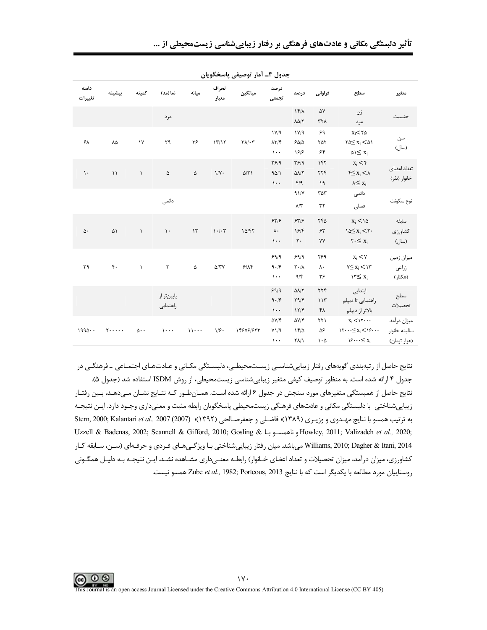| <b>تأثیر دلبستگی مکانی و عادتهای فرهنگی بر رفتار زیباییشناسی زیستمحیطی از </b> |  |  |  |  |
|--------------------------------------------------------------------------------|--|--|--|--|
|                                                                                |  |  |  |  |

|                  |                                            |                        |               |               | ىر يى                           | بصوں ،= ،سر ترتیبیتی پاس           |                               |                                          |                            |                                                              |                |
|------------------|--------------------------------------------|------------------------|---------------|---------------|---------------------------------|------------------------------------|-------------------------------|------------------------------------------|----------------------------|--------------------------------------------------------------|----------------|
| دامنه<br>تغييرات | سشىنە                                      | كمىنە                  | نما (مد)      | مىانە         | انحراف<br>معيار                 | ميانگين                            | درصد<br>تجمعى                 | در صد                                    | فراواني                    | سطح                                                          | متغير          |
|                  |                                            |                        | مرد           |               |                                 |                                    |                               | $1f/\lambda$<br>$\Lambda\Delta/\Upsilon$ | ۵٧<br>٣٢٨                  | زن<br>مرد                                                    | جنسيت          |
|                  |                                            |                        |               |               |                                 |                                    |                               |                                          |                            |                                                              |                |
|                  |                                            |                        |               |               |                                 |                                    | 1V/9                          | 1V/9                                     | ۶۹                         | $X_i$ < $\tau \Delta$                                        | سن             |
| ۶۸               | ٨۵                                         | $\backslash\mathsf{V}$ | ۲۹            | ٣۶            | 17/17                           | $\Upsilon \wedge / \cdot \Upsilon$ | $\Lambda \Upsilon / \Upsilon$ | $50/2$                                   | ٢۵٢                        | $\mathbf{Y} \Delta \leq \mathbf{X}_i \leq \Delta \mathbf{Y}$ | (سال)          |
|                  |                                            |                        |               |               |                                 |                                    | $\mathcal{L}$ .               | ۱۶۱۶                                     | ۶۴                         | $\Delta S \leq X_i$                                          |                |
|                  |                                            |                        |               |               |                                 |                                    | $\mathbf{Y}$ $\mathbf{Y}$     | T5/9                                     | 157                        | $x_i < f$                                                    | تعداد اعضاى    |
| $\mathcal{L}$    | $\setminus$                                | $\lambda$              | ۵             | $\Delta$      | $1/\gamma$ .                    | $\Delta/\Upsilon$                  | 90/1                          | $\Delta\lambda/\Upsilon$                 | $\tau\tau f$               | $\xi \leq x_i < \lambda$                                     |                |
|                  |                                            |                        |               |               |                                 |                                    | $\mathcal{L}$ .               | f/9                                      | ۱۹                         | $\lambda \leq x_i$                                           | خانوار (نفر)   |
|                  |                                            |                        |               |               |                                 |                                    |                               | 91/                                      | $\tau \Delta \tau$         | دائمى                                                        |                |
|                  |                                            |                        | دائمى         |               |                                 |                                    |                               | $\Lambda/\Upsilon$                       | $\tau\tau$                 |                                                              | نوع سكونت      |
|                  |                                            |                        |               |               |                                 |                                    |                               |                                          |                            | فصلى                                                         |                |
|                  |                                            |                        |               |               |                                 |                                    | 55/5                          | 557/5                                    | ٢۴۵                        | $x_i < \infty$                                               | سابقه          |
| $\Delta\cdot$    | ۵۱                                         | $\lambda$              | $\mathcal{N}$ | $\mathcal{N}$ | $\mathcal{N} \cdot \mathcal{N}$ | 10/FT                              | $\lambda$ .                   | 197                                      | $\gamma\gamma$             | $10 \leq x_i \leq 7$                                         | كشاورزى        |
|                  |                                            |                        |               |               |                                 |                                    | $\cdots$                      | $\mathbf{r}$ .                           | ٧Y                         | $\mathbf{Y} \cdot \leq \mathbf{X}_i$                         | (سال)          |
|                  |                                            |                        |               |               |                                 |                                    |                               |                                          |                            |                                                              |                |
|                  |                                            |                        |               |               |                                 |                                    | 99/9                          | 99/9                                     | ٢۶٩                        | $x_i < v$                                                    | ميزان زمين     |
| ٣٩               | $\mathfrak{r}$ .                           | $\lambda$              | $\mathbf{r}$  | ۵             | $\Delta/\Upsilon\Upsilon$       | 9/19                               | 9.19                          | $\mathsf{Y} \cdot / \mathsf{A}$          | ٨٠                         | $Y \leq X_i \leq Y$                                          | زراعى          |
|                  |                                            |                        |               |               |                                 |                                    | $\mathcal{L}$ .               | 9/5                                      | ٣۶                         | $Y \leq X_i$                                                 | (هكتار)        |
|                  |                                            |                        |               |               |                                 |                                    | 99/9                          | $\Delta\lambda/\Upsilon$                 | $\tau\tau\mathfrak{r}$     | ابتدايى                                                      |                |
|                  |                                            |                        | پايينتر از    |               |                                 |                                    | 9.19                          | $\Upsilon$ 9/۴                           | 115                        | راهنمایی تا دیپلم                                            | سطح            |
|                  |                                            |                        | راهنمايي      |               |                                 |                                    | $\mathcal{L}$ .               | 17/F                                     | ۴۸                         |                                                              | تحصيلات        |
|                  |                                            |                        |               |               |                                 |                                    |                               |                                          |                            | بالاتر از ديپلم                                              |                |
|                  |                                            |                        |               |               |                                 |                                    | $\Delta V/\mathfrak{k}$       | $\Delta V/F$                             | $\uparrow\uparrow\uparrow$ | $x_i$ < $\gamma$                                             | ميزان درآمد    |
| $1990 \cdot$     | $\mathbf{y} \cdot \cdot \cdot \cdot \cdot$ | $\Delta \cdot \cdot$   | $\cdots$      | 11            | 1/f.                            | 148481877                          | Y1/9                          | 14/2                                     | ۵۶                         | $1\mathbf{Y}\cdots\leq\mathbf{X}_{i}\leq1\mathbf{Y}\cdots$   | ساليانه خانوار |
|                  |                                            |                        |               |               |                                 |                                    | $\mathcal{L}$ .               | $\Upsilon \Lambda / \Lambda$             | $\cdot \Delta$             | $19 \cdots \leq x_i$                                         | (هزار تومان)   |

حدول ۳\_ آمار توصيفي باسخگويان

نتایج حاصل از رتبهبندی گویههای رفتار زیباییشناسی زیستمحیطی، دلبستگی مکـانی و عـادتهـای اجتمـاعی ـ فرهنگـی در جدول ۴ ارائه شده است. به منظور توصيف كيفي متغير زيبايي شناسي زيستمحيطي، از روش ISDM استفاده شد (جدول ۵). نتايج حاصل از همبستگي متغيرهاي مورد سنجش در جدول ۶ ارائه شده است. همـانطـور كـه نتـايج نشـان مـيدهـد، بـين رفتـار زیباییشناختی با دلبستگی مکانی و عادتهای فرهنگی زیستمحیطی پاسخگویان رابطه مثبت و معنیداری وجـود دارد. ایــن نتیجـه به ترتيب همسو با نتايج مهدوى و وزيـرى (١٣٨٩)؛ فاضـلي و جعفرصـالحي (١٣٩٢)؛ Stern, 2000; Kalantari et al., 2007 (2007) Uzzell & Badenas, 2002; Scannell & Gifford, 2010; Gosling & بالمعمسوبا Bowley, 2011; Valizadeh et al., 2020; Williams, 2010; Dagher & Itani, 2014 میباشد. میان رفتار زیباییشناختی بـا ویژگـیهـای فـردی و حرفـهای (سـن، سـابقه كـار کشاورزی، میزان درآمد، میزان تحصیلات و تعداد اعضای خـانوار) رابطـه معنـیداری مشـاهده نشـد. ایـن نتیجـه بـه دلیـل همگـونی روستاييان مورد مطالعه با يكديگر است كه با نتايج Zube et al., 1982; Porteous, 2013 همسو نيست.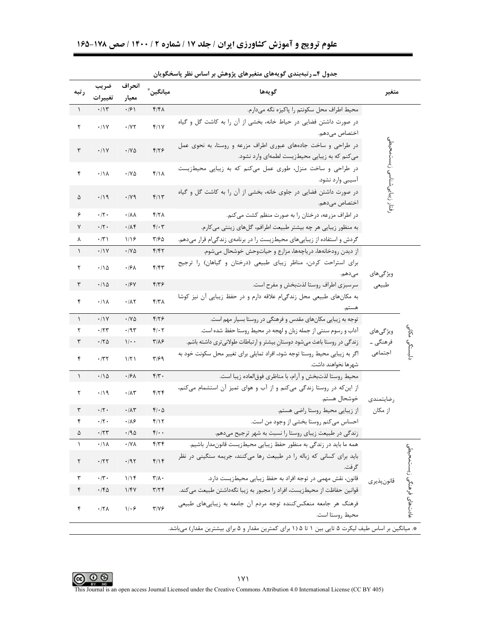| ر تبه      | ضريب                 | انحراف                       | ميانگين  ُ                | گويەھا                                                                                                           | متغير                       |                          |
|------------|----------------------|------------------------------|---------------------------|------------------------------------------------------------------------------------------------------------------|-----------------------------|--------------------------|
| $\sqrt{2}$ | تغييرات<br>.77       | معيار<br>$\cdot$ /۶)         | $f/f\Lambda$              | محيط اطراف محل سكونتم را پاكيزه نگه مىدارم.                                                                      |                             |                          |
| ٢          | .11V                 | $\cdot$ /Y $\tau$            | f/Y                       | در صورت داشتن فضایی در حیاط خانه، بخشی از آن را به کاشت گل و گیاه<br>اختصاص می،دهم.                              |                             |                          |
| ٣          | $\cdot/1$ Y          | $\cdot$ /Y $\Delta$          | $F/Y$ ۶                   | در طراحی و ساخت جادههای عبوری اطراف مزرعه و روستا، به نحوی عمل<br>می کنم که به زیبایی محیطزیست لطمهای وارد نشود. |                             |                          |
| ۴          | $\cdot/\lambda$      | $\cdot$ /Y $\Delta$          | $f/\lambda$               | در طراحی و ساخت منزل، طوری عمل می کنم که به زیبایی محیطزیست<br>آسیبی وارد نشود.                                  | فتار زيبايي شناسي زيستمحيطي |                          |
| ۵          | $\cdot$ /19          | .14                          | f/Y                       | در صورت داشتن فضایی در جلوی خانه، بخشی از آن را به کاشت گل و گیاه<br>اختصاص میدهم.                               |                             |                          |
| ۶          | $\cdot/\Upsilon$ .   | ٠/٨٨                         | $f/7\lambda$              | در اطراف مزرعه، درختان را به صورت منظم کشت می کنم.                                                               |                             |                          |
| ٧          | $\cdot$ /٢ $\cdot$   | ۰/۸۴                         | $f/\cdot 7$               | به منظور زیبایی هر چه بیشتر طبیعت اطرافم، گلهای زینتی می کارم.                                                   |                             |                          |
| ٨          | $\cdot$ /۳)          | 1/19                         | ۳۱۶۵                      | گردش و استفاده از زیباییهای محیطزیست را در برنامهی زندگیام قرار میدهم.                                           |                             |                          |
| $\lambda$  | .11Y                 | ۰/۷۵                         | ۴۱۴۲                      | از دیدن رودخانهها، دریاچهها، مزارع و حیاتوحش خوشحال میشوم.                                                       |                             |                          |
| ٢          | $\cdot/\Delta$       | ۰۱۶۸                         | F/FY                      | برای استراحت کردن، مناظر زیبای طبیعی (درختان و گیاهان) را ترجیح                                                  |                             |                          |
|            |                      |                              |                           | مى دهم.                                                                                                          | ویژگی های                   |                          |
| ٣          | $\cdot$ 10           | ۰/۶۷                         | $F/Y$ ۶                   | سرسبزی اطراف روستا لذتبخش و مفرح است.                                                                            | طبيعي                       |                          |
| ۴          | $\cdot/\Lambda$      | $\cdot/\lambda\Upsilon$      | f/T                       | به مكانهاى طبيعى محل زندگىام علاقه دارم و در حفظ زيبايى آن نيز كوشا<br>هستم.                                     |                             |                          |
| $\lambda$  | .11Y                 | $\cdot$ / $\vee$ $\triangle$ | $F/Y$ ۶                   | توجه به زیبایی مکانهای مقدس و فرهنگی در روستا بسیار مهم است.                                                     |                             |                          |
| ٢          | .77                  | .795                         | $f/\cdot 7$               | آداب و رسوم سنتی از جمله زبان و لهجه در محیط روستا حفظ شده است.                                                  | ویژگیهای                    | ولي<br>في                |
| ٣          | .70                  | $1/\cdot$                    | $Y/\lambda$ ۶             | زندگی در روستا باعث میشود دوستان بیشتر و ارتباطات طولانیتری داشته باشم.                                          | فرهنگی ـ                    |                          |
| ۴          | $\cdot$ /٣٢          | 1/T1                         | ۳۱۶۹                      | اگر به زیبایی محیط روستا توجه شود، افراد تمایلی برای تغییر محل سکونت خود به<br>شهرها نخواهند داشت.               | اجتماعي                     | دلبستگى                  |
| $\lambda$  | $\cdot/\Delta$       | ۰۱۶۸                         | $f/\tau$ .                | محيط روستا لذتبخش و آرام، با مناظري فوق لعاده زيبا است.                                                          |                             |                          |
| ٢          | $\cdot$ /19          | $\cdot/\lambda\tau$          | $f/\tau f$                | از این که در روستا زندگی میکنم و از آب و هوای تمیز آن استشمام میکنم،<br>خوشحال هستم.                             | , ضایتمندی                  |                          |
| ٣          | $\cdot/\tau$ .       | $\cdot$ /1۳                  | $f/\cdot \Delta$          | از زیبایی محیط روستا راضی هستم.                                                                                  | از مکان                     |                          |
| ۴          | $\cdot/\tau$ .       | $\cdot$ / $\wedge$ ۶         | f/Y                       | احساس میکنم روستا بخشی از وجود من است.                                                                           |                             |                          |
| ۵          | $\cdot$ /٢٣          | ۰/۹۵                         | $f(\cdot)$                | زندگی در طبیعت زیبای روستا را نسبت به شهر ترجیح میدهم.                                                           |                             |                          |
| ١          | $\cdot/\Lambda$      | $\cdot$ /Y $\wedge$          | $f/\uparrow f$            | همه ما بايد در زندگي به منظور حفظ زيبايي محيطزيست قانونمدار باشيم.                                               |                             |                          |
| ٢          | .77                  | .791                         | $f/\gamma f$              | باید برای کسانی که زباله را در طبیعت رها میکنند، جریمه سنگینی در نظر<br>گرفت.                                    |                             |                          |
| ٣          | $\cdot/\mathbf{r}$ . | 1/15                         | $\mathbf{r}/\mathbf{r}$ . | قانون، نقش مهمی در توجه افراد به حفظ زیبایی محیطزیست دارد.                                                       | قانون پذير ي                |                          |
| ۴          | $\cdot$ /۴۵          | 1/FV                         | $\mathbf{r}/\mathbf{r}$   | قوانین حفاظت از محیطزیست، افراد را مجبور به زیبا نگهداشتن طبیعت می کند.                                          |                             |                          |
| ۴          | $\cdot$ /٢٨          | $1/\cdot 5$                  | $Y/Y$ ۶                   | فرهنگ هر جامعه منعکس کننده توجه مردم آن جامعه به زیباییهای طبیعی<br>محيط روستا است.                              |                             | عادتهای فرهنگی زیستمحیطی |
|            |                      |                              |                           | *. میانگین بر اساس طیف لیکرت ۵ تایی بین ۱ تا ۵ (۱ برای کمترین مقدار و ۵ برای بیشترین مقدار) می باشد.             |                             |                          |

جدول ۴ـ رتبهبندی گویههای متغیرهای پژوهش بر اساس نظر پاسخگویان



O O O IVI<br>This Journal is an open access Journal Licensed under the Creative Commons Attribution 4.0 International License (CC BY 405)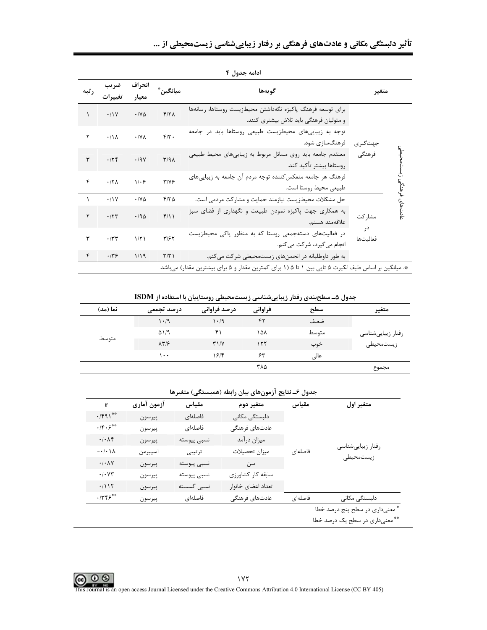| ر تبه | ضريب<br>تغييرات | انحراف<br>معيار              | ميانگين ٌ               | گويەھا                                                                                                | متغير                    |
|-------|-----------------|------------------------------|-------------------------|-------------------------------------------------------------------------------------------------------|--------------------------|
|       | .11Y            | $\cdot$ / $\vee$ $\triangle$ | Y/Y                     | براى توسعه فرهنگ پاكيزه نگهداشتن محيطزيست روستاها، رسانهها<br>و متولیان فرهنگی باید تلاش بیشتری کنند. |                          |
| ٢     | $\cdot/\Lambda$ | $\cdot$ /Y $\wedge$          | $f/\tau$ .              | توجه به زیباییهای محیطزیست طبیعی روستاها باید در جامعه<br>فرهنگسازی شود.                              | جهتگيري                  |
| ٣     | .75             | .79V                         | $\Gamma/9\Lambda$       | معتقدم جامعه باید روی مسائل مربوط به زیباییهای محیط طبیعی<br>روستاها بيشتر تأكيد كند.                 | فرهنگی                   |
| ۴     | $.77\lambda$    | $1/\cdot 5$                  | $Y/Y$ ۶                 | فرهنگ هر جامعه منعکس کننده توجه مردم آن جامعه به زیباییهای<br>طبيعي محيط روستا است.                   |                          |
|       | .11Y            | $\cdot$ /y $\Delta$          | $F/T\Delta$             | حل مشکلات محیطزیست نیازمند حمایت و مشارکت مردمی است.                                                  |                          |
| ٢     | .777            | .40                          | $f/\big)$               | به همکاری جهت پاکیزه نمودن طبیعت و نگهداری از فضای سبز<br>علاقەمند ھستم.                              | عادتهای فرهنگ<br>مشار کت |
| ٣     | $\cdot$ /٣٣     | $1/\Upsilon$                 | $\mathbf{Y}/\mathbf{Y}$ | در فعالیتهای دستهجمعی روستا که به منظور پاکی محیطزیست<br>انجام میگیرد، شرکت می کنم.                   | در<br>فعاليتها           |
| ۴     | .779            | 1/19                         | $\Gamma/\Upsilon$       | به طور داوطلبانه در انجمنهای زیستمحیطی شرکت میکنم.                                                    |                          |
|       |                 |                              |                         | *. میانگین بر اساس طیف لکیرت ۵ تایی بین ۱ تا ۵ (۱ برای کمترین مقدار و ۵ برای بیشترین مقدار) میباشد.   |                          |

ادامه جدول ۴

جدول ۵ـ سطح بندی رفتار زیبایی شناسی زیست محیطی روستاییان با استفاده از ISDM

| نما (مد) | درصد تجمعی             | درصد فراوانی   | فراواني | سطح   | متغير             |
|----------|------------------------|----------------|---------|-------|-------------------|
|          | 1.4                    | 1.4            | ۴٢      | ضعيف  |                   |
|          | $\Delta$ $/9$          | ۴۱             | ۱۵۸     | متوسط | رفتار زيبايىشناسى |
| متوسط    | $\lambda \Upsilon / 5$ | $Y\setminus Y$ | ۱۲۲     | خوب   | زيستمحيطى         |
|          | ۱۰۰                    | ۱۶۱۴           | ۶۳      | عالى  |                   |
|          |                        |                | ۳۸۵     |       | مجموع             |
|          |                        |                |         |       |                   |

| جدول ۶ــ نتايج آزمونهاي بيان رابطه (همبستگي) متغيرها |  |  |  |
|------------------------------------------------------|--|--|--|
|------------------------------------------------------|--|--|--|

| r                                                                                      | آزمون آمارى | مقياس       | متغير دوم          | مقياس   | متغير اول                      |
|----------------------------------------------------------------------------------------|-------------|-------------|--------------------|---------|--------------------------------|
| $\cdot$ /۴۹۱**                                                                         | پيرسون      | فاصلهای     | دلبستگی مکانی      |         |                                |
| $\cdot$ /۴ $\cdot$ ۶**                                                                 | پيرسون      | فاصلهاى     | عادتهاى فرهنگى     |         |                                |
| $\cdot$ / $\cdot$ / $\mathcal{K}$                                                      | پيرسون      | نسبى پيوسته | ميزان درآمد        |         |                                |
| $-\cdot$ / $\cdot$ / $\lambda$                                                         | اسپيرمن     | ترتيبي      | ميزان تحصيلات      | فاصلهای | رفتار زيبايىشناسى              |
| $\boldsymbol{\cdot}\,/\boldsymbol{\cdot}\,\boldsymbol{\lambda}\,\boldsymbol{\Upsilon}$ | پيرسون      | نسبى پيوسته | سن                 |         | زيستمحيطى                      |
| $\boldsymbol{\cdot}\,/\boldsymbol{\cdot}\,$ $\mathsf{Y}\mathsf{Y}$                     | پيرسون      | نسبى پيوسته | سابقه كار كشاورزى  |         |                                |
| $\cdot/$ $\backslash$ $\backslash$ $\backslash$                                        | پيرسون      | نسبى گسسته  | تعداد اعضاى خانوار |         |                                |
| .775                                                                                   | پيرسون      | فاصلهای     | عادتهاى فرهنگى     | فاصلهای | دلبستگی مکانی                  |
|                                                                                        |             |             |                    |         | * معنىدارى در سطح پنج درصد خطا |
|                                                                                        |             |             |                    |         | ** معنىدارى در سطح يک درصد خطا |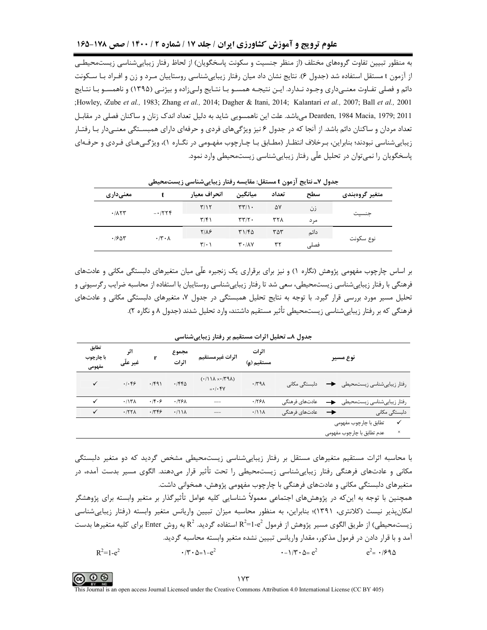به منظور تبیین تفاوت گروههای مختلف (از منظر جنسیت و سکونت پاسخگویان) از لحاظ رفتار زیباییشناسی زیستمحیطـی از آزمون t مستقل استفاده شد (جدول ۶). نتایج نشان داد میان رفتار زیباییشناسی روستاییان مـرد و زن و افـراد بـا سـكونت دائم و فصلي تفـاوت معنـي داري وجـود نـدارد. ايـن نتيجـه همسـو بـا نتـايج ولـي;اده و بيژنـي (١٣٩۵) و ناهمسـو بـا نتـايج ;Howley, Zube et al., 1983; Zhang et al., 2014; Dagher & Itani, 2014; Kalantari et al., 2007; Ball et al., 2001 Dearden, 1984 Macia, 1979; 2011 می باشد. علت این ناهمسویی شاید به دلیل تعداد اندک زنان و ساکنان فصلی در مقابـل تعداد مردان و ساکنان دائم باشد. از آنجا که در جدول ۶ نیز ویژگیهای فردی و حرفهای دارای همبسـتگی معنـیدار بـا رفتـار زیباییشناسی نبودند؛ بنابراین، بـرخلاف انتظـار (مطـابق بـا چـارچوب مفهـومی در نگـاره ۱)، ویژگـیهـای فـردی و حرفـهای پاسخگویان را نمی توان در تحلیل علّی رفتار زیباییشناسی زیستمحیطی وارد نمود.

| معنىدارى |                             | انحراف معيار            | ميانگين                                  | تعداد | سطح  | متغير گروەبندى |
|----------|-----------------------------|-------------------------|------------------------------------------|-------|------|----------------|
| .715     | $-1779$                     | T/17                    | $\mathbf{r}\mathbf{r}/\mathbf{v}$ .      | ۵۷    | زن   |                |
|          |                             | $\mathbf{r}/\mathbf{r}$ | $\tau\tau/\tau$ .                        | ۳۲۸   | مر د | جنسيت          |
| .788     | $\cdot$ /۳ $\cdot$ $\wedge$ | $Y/\lambda$ ۶           | $T1/F\Delta$                             | ۳۵۳   | دائم |                |
|          |                             | $\mathbf{r}$ $\cdot$ \  | $\mathbf{r} \cdot \mathbf{A} \mathbf{v}$ | ٣١    | فصلى | نوع سكونت      |

جدول ۷ـ نتایج آزمون t مستقل: مقایسه رفتار زیباییشناسی زیستمحیطی

بر اساس چارچوب مفهومی پژوهش (نگاره ۱) و نیز برای برقراری یک زنجیره علّی میان متغیرهای دلبستگی مکانی و عادتهای فرهنگی با رفتار زیباییشناسی زیستمحیطی، سعی شد تا رفتار زیباییشناسی روستاییان با استفاده از محاسبه ضرایب رگرسیونی و تحلیل مسیر مورد بررسی قرار گیرد. با توجه به نتایج تحلیل همبستگی در جدول ۷، متغیرهای دلبستگی مکانی و عادتهای فرهنگی که بر رفتار زیباییشناسی زیستمحیطی تأثیر مستقیم داشتند، وارد تحلیل شدند (جدول ۸ و نگاره ۲).

| تطابق<br>با چارچوب<br>مفهومي | اثر<br>غیر علّی |              | مجموع<br>اثرات    | اثرات غيرمستقيم                                                             | اثرات<br>مستقیم (g) |                | نوع مسير                                           |
|------------------------------|-----------------|--------------|-------------------|-----------------------------------------------------------------------------|---------------------|----------------|----------------------------------------------------|
| $\checkmark$                 | .1.89           | $\cdot$ /۴۹۱ | .756              | $(1/\lambda \times \sqrt{79\lambda})$<br>$=$ $\cdot$ / $\cdot$ $\uparrow$ Y | .791                | دلبستگی مکانی  | رفتار زيبايىشناسى زيستمحيطى                        |
| ✓                            | .117A           | .14.9        | .179 <sub>A</sub> | ---                                                                         | .179A               | عادتهای فرهنگی | رفتار زيبايي شناسي زيستمحيطى                       |
| ✓                            | .177            | .7799        | .711              |                                                                             | .711                | عادتهای فرهنگی | دلبستگی مکانی<br>→                                 |
|                              |                 |              |                   |                                                                             |                     |                | $\checkmark$<br>تطابق با چارچوب مفهومی<br>$\times$ |
|                              |                 |              |                   |                                                                             |                     |                | عدم تطابق با چارچوب مفهومی                         |

جدول ٨ـ تحليل اثرات مستقيم بر رفتار زيباييشناسي

با محاسبه اثرات مستقیم متغیرهای مستقل بر رفتار زیباییشناسی زیستمحیطی مشخص گردید که دو متغیر دلبستگی مکانی و عادتهای فرهنگی رفتار زیباییشناسی زیستمحیطی را تحت تأثیر قرار میدهند. الگوی مسیر بدست آمده، در متغیرهای دلبستگی مکانی و عادتهای فرهنگی با چارچوب مفهومی پژوهش، همخوانی داشت.

همچنین با توجه به این که در پژوهش،های اجتماعی معمولاً شناسایی کلیه عوامل تأثیرگذار بر متغیر وابسته برای پژوهشگر امکان پذیر نیست (کلانتری، ۱۳۹۱)؛ بنابراین، به منظور محاسبه میزان تبیین واریانس متغیر وابسته (رفتار زیباییشناسی زیستمحیطی) از طریق الگوی مسیر پژوهش از فرمول  $\rm R^2$ -1-2 استفاده گردید.  $\rm R^2$  به روش Enter برای کلیه متغیرها بدست آمد و با قرار دادن در فرمول مذکور، مقدار واریانس تبیین نشده متغیر وابسته محاسبه گردید.  $\cdot$  -  $1/\mathbf{r} \cdot \Delta = e^2$  $R^2 = 1 - e^2$  $\cdot$  /۳  $\cdot$   $\Delta$  =  $\cdot$  –  $e^2$  $e^2 = \frac{1}{2}$ 

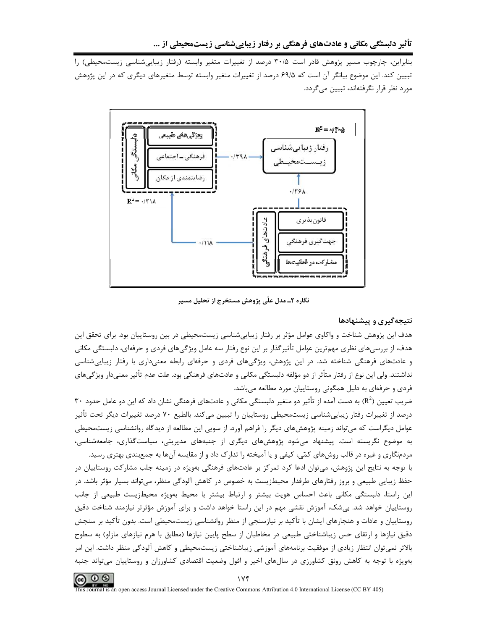بنابراین، چارچوب مسیر پژوهش قادر است ۳۰/۵ درصد از تغییرات متغیر وابسته (رفتار زیباییشناسی زیستمحیطی) را تبیین کند. این موضوع بیانگر آن است که ۶۹/۵ درصد از تغییرات متغیر وابسته توسط متغیرهای دیگری که در این پژوهش مورد نظر قرار نگرفتهاند، تبیین می گردد.



نگاره ۲ـ مدل علّی پژوهش مستخرج از تحلیل مسیر

## نتیجهگیری و پیشنهادها

هدف این پژوهش شناخت و واکاوی عوامل مؤثر بر رفتار زیبایی شناسی زیستمحیطی در بین روستاییان بود. برای تحقق این هدف، از بررسیهای نظری مهمترین عوامل تأثیرگذار بر این نوع رفتار سه عامل ویژگیهای فردی و حرفهای، دلبستگی مکانی و عادتهای فرهنگی شناخته شد. در این پژوهش، ویژگیهای فردی و حرفهای رابطه معنیداری با رفتار زیباییشناسی نداشتند. ولی این نوع از رفتار متأثر از دو مؤلفه دلبستگی مکانی و عادتهای فرهنگی بود. علت عدم تأثیر معنیدار ویژگیهای فردی و حرفهای به دلیل همگونی روستاییان مورد مطالعه میباشد.

ضریب تعیین (R<sup>2</sup>) به دست آمده از تأثیر دو متغیر دلبستگی مکانی و عادتهای فرهنگی نشان داد که این دو عامل حدود ۳۰ درصد از تغییرات رفتار زیباییشناسی زیستمحیطی روستاییان را تبیین میکند. بالطبع ۷۰ درصد تغییرات دیگر تحت تأثیر عوامل دیگراست که میتواند زمینه پژوهشهای دیگر را فراهم آورد. از سویی این مطالعه از دیدگاه روانشناسی زیستمحیطی به موضوع نگریسته است. پیشنهاد میشود پژوهشهای دیگری از جنبههای مدیریتی، سیاستگذاری، جامعهشناسی، مردمنگاری و غیره در قالب روشهای کمّی، کیفی و یا آمیخته را تدارک داد و از مقایسه آنها به جمعبندی بهتری رسید.

با توجه به نتایج این پژوهش، میتوان ادعا کرد تمرکز بر عادتهای فرهنگی بهویژه در زمینه جلب مشارکت روستاییان در حفظ زیبایی طبیعی و بروز رفتارهای طرفدار محیطزیست به خصوص در کاهش آلودگی منظر، میتواند بسیار مؤثر باشد. در این راستا، دلبستگی مکانی باعث احساس هویت بیشتر و ارتباط بیشتر با محیط بهویژه محیطزیست طبیعی از جانب روستاییان خواهد شد. بیشک، آموزش نقشی مهم در این راستا خواهد داشت و برای آموزش مؤثرتر نیازمند شناخت دقیق روستاييان و عادات و هنجارهاي ايشان با تأكيد بر نيازسنجي از منظر روانشناسي زيستمحيطي است. بدون تأكيد بر سنجش دقیق نیازها و ارتقای حس زیباشناختی طبیعی در مخاطبان از سطح پایین نیازها (مطابق با هرم نیازهای مازلو) به سطوح بالاتر نمی¤وان انتظار زیادی از موفقیت برنامههای آموزشی زیباشناختی زیستمحیطی و کاهش آلودگی منظر داشت. این امر بهویژه با توجه به کاهش رونق کشاورزی در سالهای اخیر و افول وضعیت اقتصادی کشاورزان و روستاییان می تواند جنبه

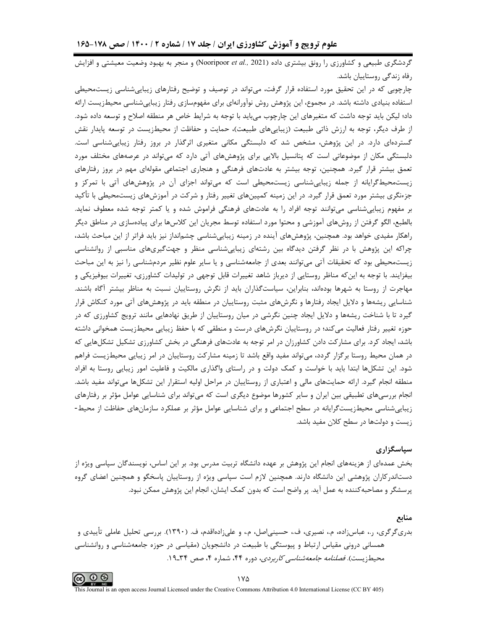گردشگری طبیعی و کشاورزی را رونق بیشتری داده (Nooripoor et al., 2021) و منجر به بهبود وضعیت معیشتی و افزایش رفاه زندگي روستاييان باشد.

چارچوبی که در این تحقیق مورد استفاده قرار گرفت، میتواند در توصیف و توضیح رفتارهای زیباییشناسی زیستمحیطی استفاده بنیادی داشته باشد. در مجموع، این پژوهش روش نوآورانهای برای مفهومسازی رفتار زیباییشناسی محیطزیست ارائه داد؛ لیکن باید توجه داشت که متغیرهای این چارچوب میباید با توجه به شرایط خاص هر منطقه اصلاح و توسعه داده شود. از طرف دیگر، توجه به ارزش ذاتی طبیعت (زیباییهای طبیعت)، حمایت و حفاظت از محیطزیست در توسعه پایدار نقش گستردهای دارد. در این پژوهش، مشخص شد که دلبستگی مکانی متغیری اثرگذار در بروز رفتار زیباییشناسی است. دلبستگی مکان از موضوعاتی است که پتانسیل بالایی برای پژوهشهای آتی دارد که میتواند در عرصههای مختلف مورد تعمق بیشتر قرار گیرد. همچنین، توجه بیشتر به عادتهای فرهنگی و هنجاری اجتماعی مقولهای مهم در بروز رفتارهای زیستمحیط گرایانه از جمله زیبایی,شناسی زیستمحیطی است که می تواند اجزای آن در پژوهش,های آتی با تمرکز و جزءنگری بیشتر مورد تعمق قرار گیرد. در این زمینه کمپینهای تغییر رفتار و شرکت در آموزشهای زیستمحیطی با تأکید بر مفهوم زیبایی شناسی می توانند توجه افراد را به عادتهای فرهنگی فراموش شده و یا کمتر توجه شده معطوف نماید. بالطبع، الگو گرفتن از روشهای آموزشی و محتوا مورد استفاده توسط مجریان این کلاسها برای پیادهسازی در مناطق دیگر راهکار مفیدی خواهد بود. همچنین، پژوهشهای آینده در زمینه زیباییشناسی چشمانداز نیز باید فراتر از این مباحث باشد، چراکه این پژوهش با در نظر گرفتن دیدگاه بین رشتهای زیباییشناسی منظر و جهتگیریهای مناسبی از روانشناسی زیستمحیطی بود که تحقیقات آتی میتوانند بعدی از جامعهشناسی و یا سایر علوم نظیر مردمشناسی را نیز به این مباحث بیفزایند. با توجه به این که مناظر روستایی از دیرباز شاهد تغییرات قابل توجهی در تولیدات کشاورزی، تغییرات بیوفیزیکی و مهاجرت از روستا به شهرها بودهاند، بنابراین، سیاستگذاران باید از نگرش روستاییان نسبت به مناظر بیشتر آگاه باشند. شناسایی ریشهها و دلایل ایجاد رفتارها و نگرشهای مثبت روستاییان در منطقه باید در پژوهشهای آتی مورد کنکاش قرار گیرد تا با شناخت ریشهها و دلایل ایجاد چنین نگرشی در میان روستاییان از طریق نهادهایی مانند ترویج کشاورزی که در حوزه تغییر رفتار فعالیت می کند؛ در روستاییان نگرش های درست و منطقی که با حفظ زیبایی محیطزیست همخوانی داشته باشد، ایجاد کرد. برای مشارکت دادن کشاورزان در امر توجه به عادتهای فرهنگی در بخش کشاورزی تشکیل تشکلهایی که در همان محیط روستا برگزار گردد، می تواند مفید واقع باشد تا زمینه مشارکت روستاییان در امر زیبایی محیطزیست فراهم شود. این تشکلها ابتدا باید با خواست و کمک دولت و در راستای واگذاری مالکیت و فاعلیت امور زیبایی روستا به افراد منطقه انجام گیرد. ارائه حمایتهای مالی و اعتباری از روستاییان در مراحل اولیه استقرار این تشکلها میتواند مفید باشد. انجام بررسیهای تطبیقی بین ایران و سایر کشورها موضوع دیگری است که میتواند برای شناسایی عوامل مؤثر بر رفتارهای زیبایی,شناسی محیطزیستگرایانه در سطح اجتماعی و برای شناسایی عوامل مؤثر بر عملکرد سازمانهای حفاظت از محیط-زیست و دولتها در سطح کلان مفید باشد.

#### سیاسگزاری

بخش عمدهای از هزینههای انجام این پژوهش بر عهده دانشگاه تربیت مدرس بود. بر این اساس، نویسندگان سپاسی ویژه از دستاندرکاران پژوهشی این دانشگاه دارند. همچنین لازم است سپاسی ویژه از روستاییان پاسخگو و همچنین اعضای گروه پرسشگر و مصاحبهکننده به عمل آید. پر واضح است که بدون کمک ایشان، انجام این پژوهش ممکن نبود.

منابع بدریگرگری، ر.، عباسزاده، م.، نصیری، ف.، حسینی|صل، م.، و علیزادهاقدم، ف. (۱۳۹۰). بررسی تحلیل عاملی تأییدی و همسانی درونی مقیاس ارتباط و پیوستگی با طبیعت در دانشجویان (مقیاسی در حوزه جامعهشناسی و روانشناسی محیطزیست). *فصلنامه جامعهشناسی کاربردی*، دوره ۴۴، شماره ۴، صص ۳۴ـ۱۹.



۱۷۸

This Journal is an open access Journal Licensed under the Creative Commons Attribution 4.0 International License (CC BY 405)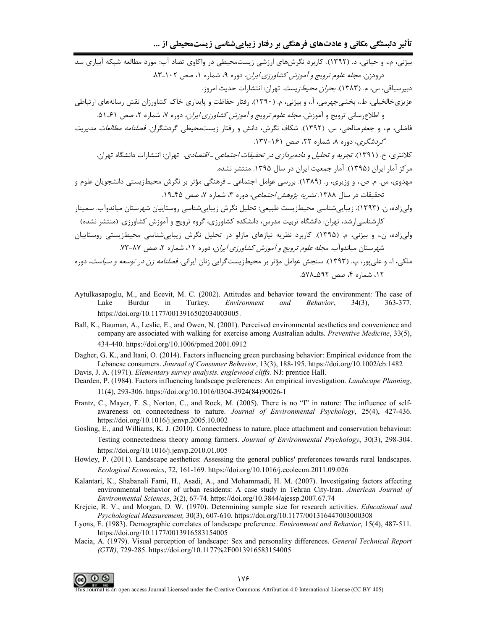| بیژنی، م.، و حیاتی، د. (۱۳۹۲). کاربرد نگرشهای ارزشی زیستمحیطی در واکاوی تضاد آب: مورد مطالعه شبکه آبیاری سد          |
|----------------------------------------------------------------------------------------------------------------------|
| درودزن. <i>مجله علوم ترویج و آموزش کشاورزی ایران،</i> دوره ۹، شماره ۱، صص ۱۰۲ـ۸۳.                                    |
| دبیرسیاقی، س، م. (۱۳۸۳). <i>بحران محیطزیست</i> . تهران: انتشارات حدیث امروز.                                         |
| عزیزیخالخیلی، ط.، بخشیجهرمی، آ.، و بیژنی، م. (۱۳۹۰). رفتار حفاظت و پایداری خاک کشاورزان نقش رسانههای ارتباطی         |
| و اطلاعرسانی ترویج و آموزش. <i>مجله علوم ترویج و آموزش کشاورزی ایران،</i> دوره ۷، شماره ۲، صص ۶۱ـ۵۱.                 |
| فاضلی، م.، و جعفرصالحی، س. (۱۳۹۲). شکاف نگرش، دانش و رفتار زیستمحیطی گردشگران. <i>فصلنامه مطالعات مدیریت</i>         |
| <i>گردشگری</i> ، دوره ۸، شماره ۲۲، صص ۱۶۱-۱۳۷.                                                                       |
| کلانتری، خ. (۱۳۹۱). <i>تجزیه و تحلیل و دادهپردازی در تحقیقات اجتماعی ـ اقتصادی</i> .  تهران: انتشارات دانشگاه تهران. |
| مرکز آمار ایران (۱۳۹۵). آمار جمعیت ایران در سال ۱۳۹۵. منتشر نشده.                                                    |
| مهدوی، س. م. ص.، و وزیری، ر. (۱۳۸۹). بررسی عوامل اجتماعی ــ فرهنگی مؤثر بر نگرش محیطزیستی دانشجویان علوم و           |
| تحقیقات در سال ۱۳۸۸. <i>نشریه پژوهش اجتماعی</i> ، دوره ۳، شماره ۷، صص ۴۵-۱۹.                                         |
| ولیزاده، ن. (۱۳۹۳). زیباییشناسی محیطزیست طبیعی: تحلیل نگرش زیباییشناسی روستاییان شهرستان میاندوآب. سمینار            |
| کارشناسی رشد، تهران: دانشگاه تربیت مدرس، دانشکده کشاورزی، گروه ترویج و آموزش کشاورزی. (منتشر نشده)                   |
| ولیزاده، ن.، و بیژنی، م. (۱۳۹۵). کاربرد نظریه نیازهای مازلو در تحلیل نگرش زیباییشناسی محیطزیستی روستاییان            |
| شهرستان میاندوآب. <i>مجله علوم ترویج و آموزش کشاورزی ایران</i> ، دوره ۱۲، شماره ۲، صص ۸۷-۷۳.                         |

- ملکی، ا.، و علیپور، پ. (۱۳۹۳). سنجش عوامل مؤثر بر محیطزیستگرایی زنان ایرانی. *فصلنامه زن در توسعه و سیاست*، دوره ۰۱۲، شماره ۴، صص ۵۹۲–۵۷۸.
- Aytulkasapoglu, M., and Ecevit, M. C. (2002). Attitudes and behavior toward the environment: The case of Lake Burdur Turkey. Environment 363-377. in and Behavior,  $34(3)$ , https://doi.org/10.1177/0013916502034003005.
- Ball, K., Bauman, A., Leslie, E., and Owen, N. (2001). Perceived environmental aesthetics and convenience and company are associated with walking for exercise among Australian adults. Preventive Medicine, 33(5), 434-440. https://doi.org/10.1006/pmed.2001.0912
- Dagher, G. K., and Itani, O. (2014). Factors influencing green purchasing behavior: Empirical evidence from the Lebanese consumers. Journal of Consumer Behavior, 13(3), 188-195. https://doi.org/10.1002/cb.1482 Davis, J. A. (1971). Elementary survey analysis. englewood cliffs. NJ: prentice Hall.
- Dearden, P. (1984). Factors influencing landscape preferences: An empirical investigation. Landscape Planning,
	- 11(4), 293-306. https://doi.org/10.1016/0304-3924(84)90026-1
- Frantz, C., Mayer, F. S., Norton, C., and Rock, M. (2005). There is no "I" in nature: The influence of selfawareness on connectedness to nature. Journal of Environmental Psychology, 25(4), 427-436. https://doi.org/10.1016/j.jenvp.2005.10.002
- Gosling, E., and Williams, K. J. (2010). Connectedness to nature, place attachment and conservation behaviour: Testing connectedness theory among farmers. Journal of Environmental Psychology, 30(3), 298-304. https://doi.org/10.1016/j.jenvp.2010.01.005
- Howley, P. (2011). Landscape aesthetics: Assessing the general publics' preferences towards rural landscapes. *Ecological Economics*, 72, 161-169. https://doi.org/10.1016/j.ecolecon.2011.09.026
- Kalantari, K., Shabanali Fami, H., Asadi, A., and Mohammadi, H. M. (2007). Investigating factors affecting environmental behavior of urban residents: A case study in Tehran City-Iran. American Journal of Environmental Sciences, 3(2), 67-74. https://doi.org/10.3844/ajessp.2007.67.74
- Krejcie, R. V., and Morgan, D. W. (1970). Determining sample size for research activities. Educational and Psychological Measurement, 30(3), 607-610. https://doi.org/10.1177/001316447003000308
- Lyons, E. (1983). Demographic correlates of landscape preference. Environment and Behavior, 15(4), 487-511. https://doi.org/10.1177/0013916583154005
- Macia, A. (1979). Visual perception of landscape: Sex and personality differences. General Technical Report (GTR), 729-285. https://doi.org/10.1177%2F0013916583154005



This Journal is an open access Journal Licensed under the Creative Commons Attribution 4.0 International License (CC BY 405)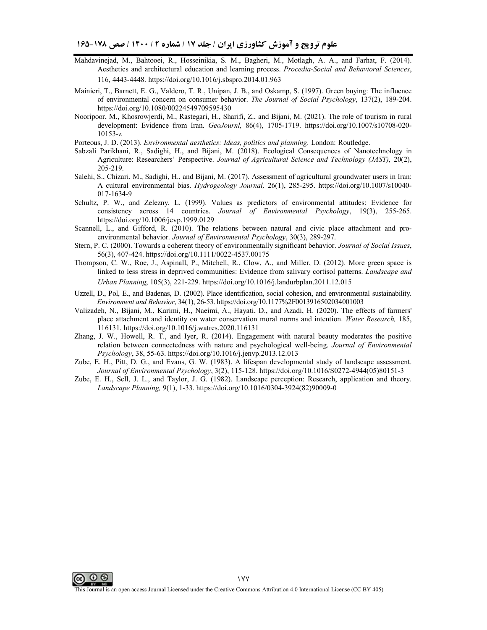- Mahdavinejad, M., Bahtooei, R., Hosseinikia, S. M., Bagheri, M., Motlagh, A. A., and Farhat, F. (2014). Aesthetics and architectural education and learning process. *Procedia-Social and Behavioral Sciences*, 116, 4443-4448. https://doi.org/10.1016/j.sbspro.2014.01.963
- Mainieri, T., Barnett, E. G., Valdero, T. R., Unipan, J. B., and Oskamp, S. (1997). Green buying: The influence of environmental concern on consumer behavior. *The Journal of Social Psychology*, 137(2), 189-204. https://doi.org/10.1080/00224549709595430
- Nooripoor, M., Khosrowjerdi, M., Rastegari, H., Sharifi, Z., and Bijani, M. (2021). The role of tourism in rural development: Evidence from Iran. *GeoJournl,* 86(4), 1705-1719. https://doi.org/10.1007/s10708-020- 10153-z
- Porteous, J. D. (2013). *Environmental aesthetics: Ideas, politics and planning*. London: Routledge.
- Sabzali Parikhani, R., Sadighi, H., and Bijani, M. (2018). Ecological Consequences of Nanotechnology in Agriculture: Researchers' Perspective. *Journal of Agricultural Science and Technology (JAST),* 20(2), 205-219.
- Salehi, S., Chizari, M., Sadighi, H., and Bijani, M. (2017). Assessment of agricultural groundwater users in Iran: A cultural environmental bias. *Hydrogeology Journal,* 26(1), 285-295. https://doi.org/10.1007/s10040- 017-1634-9
- Schultz, P. W., and Zelezny, L. (1999). Values as predictors of environmental attitudes: Evidence for consistency across 14 countries. *Journal of Environmental Psychology*, 19(3), 255-265. https://doi.org/10.1006/jevp.1999.0129
- Scannell, L., and Gifford, R. (2010). The relations between natural and civic place attachment and proenvironmental behavior. *Journal of Environmental Psychology*, 30(3), 289-297.
- Stern, P. C. (2000). Towards a coherent theory of environmentally significant behavior. *Journal of Social Issues*, 56(3), 407-424. https://doi.org/10.1111/0022-4537.00175
- Thompson, C. W., Roe, J., Aspinall, P., Mitchell, R., Clow, A., and Miller, D. (2012). More green space is linked to less stress in deprived communities: Evidence from salivary cortisol patterns. *Landscape and Urban Planning*, 105(3), 221-229. https://doi.org/10.1016/j.landurbplan.2011.12.015
- Uzzell, D., Pol, E., and Badenas, D. (2002). Place identification, social cohesion, and environmental sustainability. *Environment and Behavior*, 34(1), 26-53. https://doi.org/10.1177%2F0013916502034001003
- Valizadeh, N., Bijani, M., Karimi, H., Naeimi, A., Hayati, D., and Azadi, H. (2020). The effects of farmers' place attachment and identity on water conservation moral norms and intention. *Water Research,* 185, 116131. https://doi.org/10.1016/j.watres.2020.116131
- Zhang, J. W., Howell, R. T., and Iyer, R. (2014). Engagement with natural beauty moderates the positive relation between connectedness with nature and psychological well-being. *Journal of Environmental Psychology*, 38, 55-63. https://doi.org/10.1016/j.jenvp.2013.12.013
- Zube, E. H., Pitt, D. G., and Evans, G. W. (1983). A lifespan developmental study of landscape assessment. *Journal of Environmental Psychology*, 3(2), 115-128. https://doi.org/10.1016/S0272-4944(05)80151-3
- Zube, E. H., Sell, J. L., and Taylor, J. G. (1982). Landscape perception: Research, application and theory. *Landscape Planning,* 9(1), 1-33. https://doi.org/10.1016/0304-3924(82)90009-0